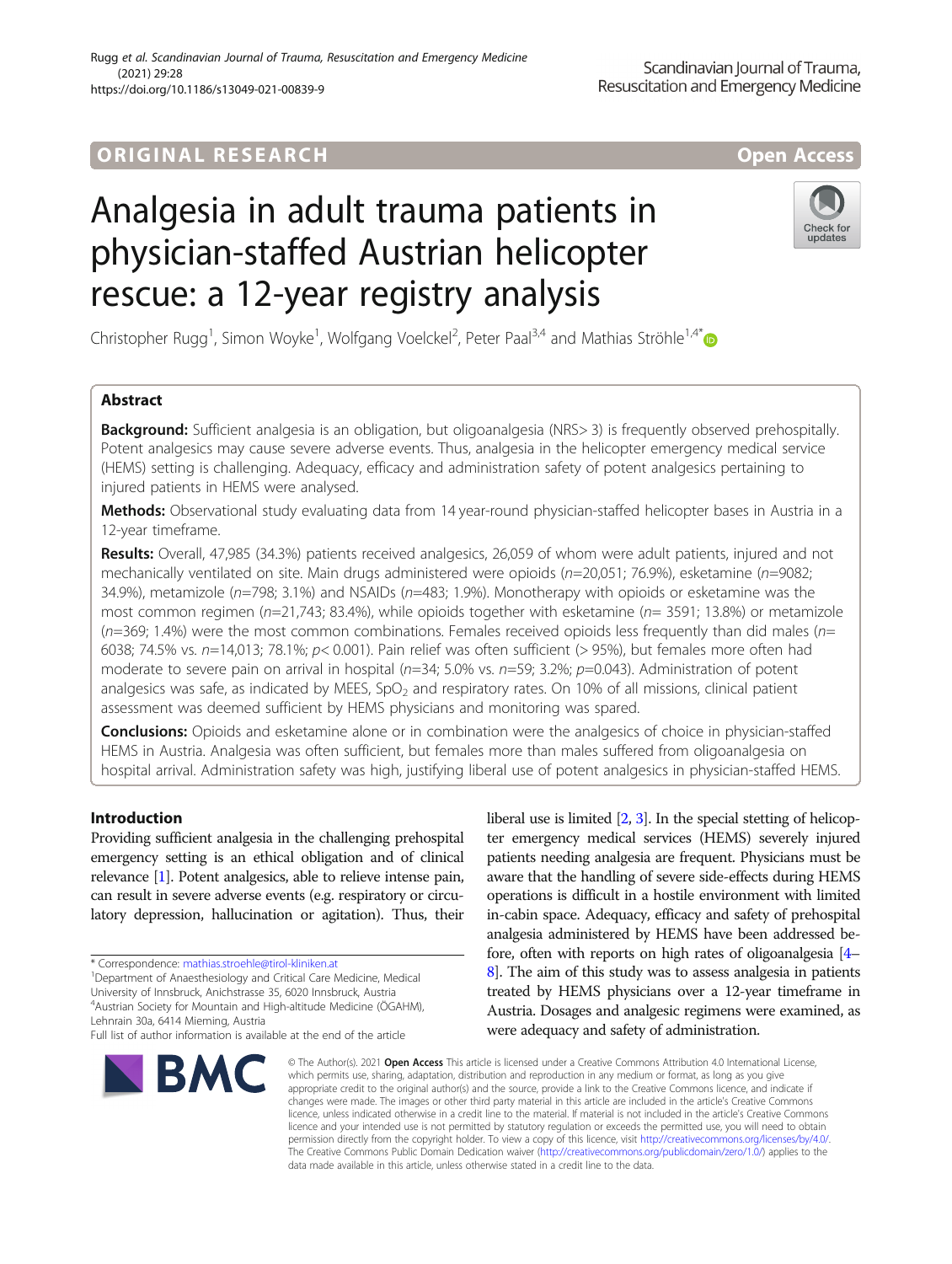# ORIGINA L R E S EA RCH Open Access

# Analgesia in adult trauma patients in physician-staffed Austrian helicopter rescue: a 12-year registry analysis

Christopher Rugg<sup>1</sup>, Simon Woyke<sup>1</sup>, Wolfgang Voelckel<sup>2</sup>, Peter Paal<sup>3,4</sup> and Mathias Ströhle<sup>1,4[\\*](http://orcid.org/0000-0002-6623-7823)</sup>

# Abstract

**Background:** Sufficient analgesia is an obligation, but oligoanalgesia (NRS> 3) is frequently observed prehospitally. Potent analgesics may cause severe adverse events. Thus, analgesia in the helicopter emergency medical service (HEMS) setting is challenging. Adequacy, efficacy and administration safety of potent analgesics pertaining to injured patients in HEMS were analysed.

Methods: Observational study evaluating data from 14 year-round physician-staffed helicopter bases in Austria in a 12-year timeframe.

Results: Overall, 47,985 (34.3%) patients received analgesics, 26,059 of whom were adult patients, injured and not mechanically ventilated on site. Main drugs administered were opioids (n=20,051; 76.9%), esketamine (n=9082; 34.9%), metamizole ( $n=798$ ; 3.1%) and NSAIDs ( $n=483$ ; 1.9%). Monotherapy with opioids or esketamine was the most common regimen ( $n=21,743$ ; 83.4%), while opioids together with esketamine ( $n=$  3591; 13.8%) or metamizole  $(n=369; 1.4%)$  were the most common combinations. Females received opioids less frequently than did males ( $n=$ 6038; 74.5% vs.  $n=14,013$ ; 78.1%;  $p< 0.001$ ). Pain relief was often sufficient (> 95%), but females more often had moderate to severe pain on arrival in hospital ( $n=34$ ; 5.0% vs.  $n=59$ ; 3.2%;  $p=0.043$ ). Administration of potent analgesics was safe, as indicated by MEES,  $SpO<sub>2</sub>$  and respiratory rates. On 10% of all missions, clinical patient assessment was deemed sufficient by HEMS physicians and monitoring was spared.

**Conclusions:** Opioids and esketamine alone or in combination were the analgesics of choice in physician-staffed HEMS in Austria. Analgesia was often sufficient, but females more than males suffered from oligoanalgesia on hospital arrival. Administration safety was high, justifying liberal use of potent analgesics in physician-staffed HEMS.

# Introduction

Providing sufficient analgesia in the challenging prehospital emergency setting is an ethical obligation and of clinical relevance [\[1\]](#page-7-0). Potent analgesics, able to relieve intense pain, can result in severe adverse events (e.g. respiratory or circulatory depression, hallucination or agitation). Thus, their

\* Correspondence: [mathias.stroehle@tirol-kliniken.at](mailto:mathias.stroehle@tirol-kliniken.at) <sup>1</sup>

<sup>1</sup>Department of Anaesthesiology and Critical Care Medicine, Medical University of Innsbruck, Anichstrasse 35, 6020 Innsbruck, Austria 4 Austrian Society for Mountain and High-altitude Medicine (ÖGAHM), Lehnrain 30a, 6414 Mieming, Austria

Full list of author information is available at the end of the article

# ter emergency medical services (HEMS) severely injured patients needing analgesia are frequent. Physicians must be aware that the handling of severe side-effects during HEMS operations is difficult in a hostile environment with limited in-cabin space. Adequacy, efficacy and safety of prehospital analgesia administered by HEMS have been addressed before, often with reports on high rates of oligoanalgesia [\[4](#page-7-0)– [8](#page-7-0)]. The aim of this study was to assess analgesia in patients treated by HEMS physicians over a 12-year timeframe in Austria. Dosages and analgesic regimens were examined, as were adequacy and safety of administration.

liberal use is limited [[2](#page-7-0), [3\]](#page-7-0). In the special stetting of helicop-

© The Author(s). 2021 Open Access This article is licensed under a Creative Commons Attribution 4.0 International License, which permits use, sharing, adaptation, distribution and reproduction in any medium or format, as long as you give appropriate credit to the original author(s) and the source, provide a link to the Creative Commons licence, and indicate if changes were made. The images or other third party material in this article are included in the article's Creative Commons licence, unless indicated otherwise in a credit line to the material. If material is not included in the article's Creative Commons licence and your intended use is not permitted by statutory regulation or exceeds the permitted use, you will need to obtain permission directly from the copyright holder. To view a copy of this licence, visit [http://creativecommons.org/licenses/by/4.0/.](http://creativecommons.org/licenses/by/4.0/) The Creative Commons Public Domain Dedication waiver [\(http://creativecommons.org/publicdomain/zero/1.0/](http://creativecommons.org/publicdomain/zero/1.0/)) applies to the data made available in this article, unless otherwise stated in a credit line to the data.





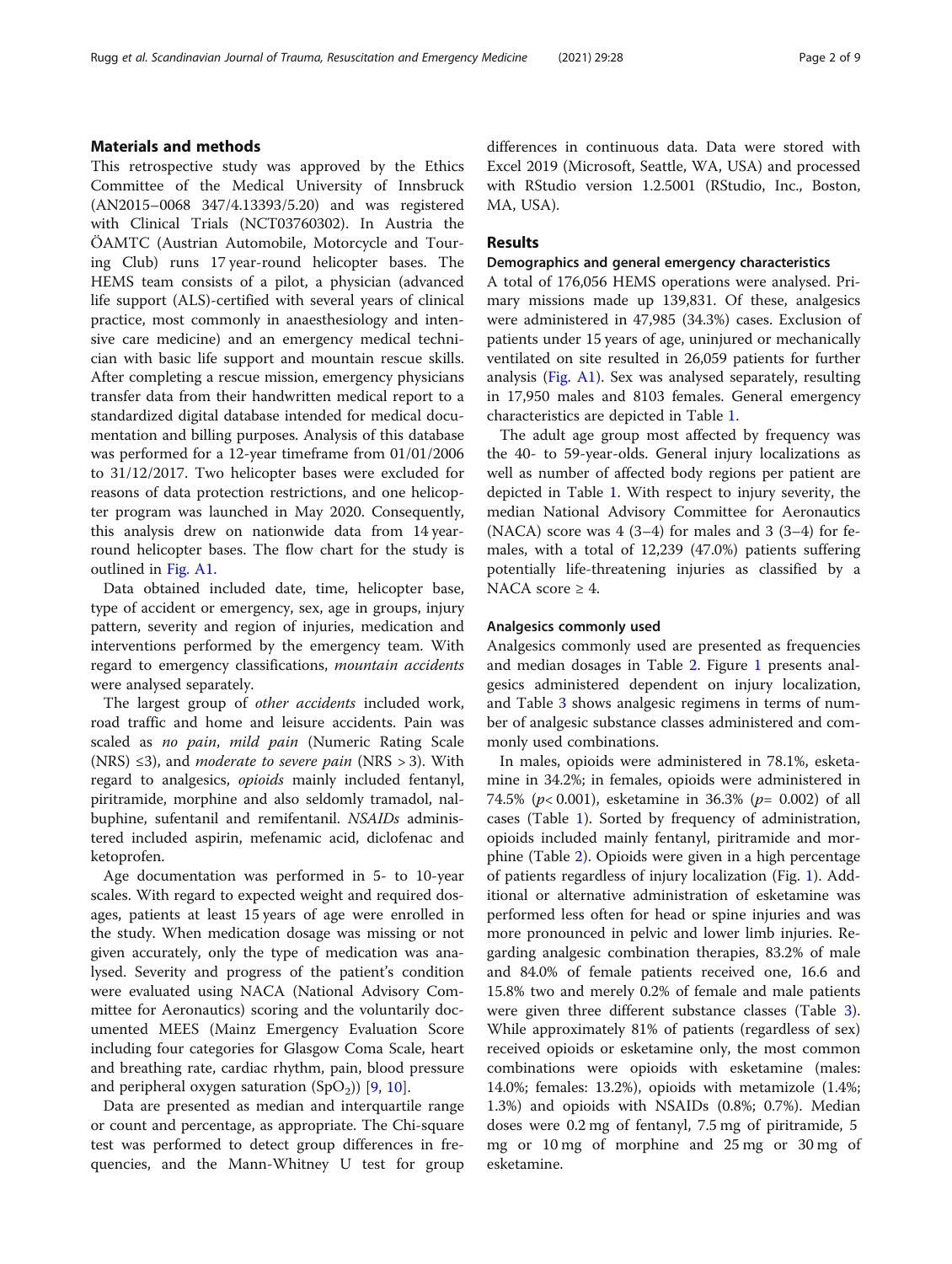# Materials and methods

This retrospective study was approved by the Ethics Committee of the Medical University of Innsbruck (AN2015–0068 347/4.13393/5.20) and was registered with Clinical Trials (NCT03760302). In Austria the ÖAMTC (Austrian Automobile, Motorcycle and Touring Club) runs 17 year-round helicopter bases. The HEMS team consists of a pilot, a physician (advanced life support (ALS)-certified with several years of clinical practice, most commonly in anaesthesiology and intensive care medicine) and an emergency medical technician with basic life support and mountain rescue skills. After completing a rescue mission, emergency physicians transfer data from their handwritten medical report to a standardized digital database intended for medical documentation and billing purposes. Analysis of this database was performed for a 12-year timeframe from 01/01/2006 to 31/12/2017. Two helicopter bases were excluded for reasons of data protection restrictions, and one helicopter program was launched in May 2020. Consequently, this analysis drew on nationwide data from 14 yearround helicopter bases. The flow chart for the study is outlined in [Fig. A1.](#page-7-0)

Data obtained included date, time, helicopter base, type of accident or emergency, sex, age in groups, injury pattern, severity and region of injuries, medication and interventions performed by the emergency team. With regard to emergency classifications, mountain accidents were analysed separately.

The largest group of other accidents included work, road traffic and home and leisure accidents. Pain was scaled as no pain, mild pain (Numeric Rating Scale (NRS)  $\leq$ 3), and *moderate to severe pain* (NRS > 3). With regard to analgesics, opioids mainly included fentanyl, piritramide, morphine and also seldomly tramadol, nalbuphine, sufentanil and remifentanil. NSAIDs administered included aspirin, mefenamic acid, diclofenac and ketoprofen.

Age documentation was performed in 5- to 10-year scales. With regard to expected weight and required dosages, patients at least 15 years of age were enrolled in the study. When medication dosage was missing or not given accurately, only the type of medication was analysed. Severity and progress of the patient's condition were evaluated using NACA (National Advisory Committee for Aeronautics) scoring and the voluntarily documented MEES (Mainz Emergency Evaluation Score including four categories for Glasgow Coma Scale, heart and breathing rate, cardiac rhythm, pain, blood pressure and peripheral oxygen saturation  $(SpO<sub>2</sub>))$  [[9,](#page-7-0) [10\]](#page-7-0).

Data are presented as median and interquartile range or count and percentage, as appropriate. The Chi-square test was performed to detect group differences in frequencies, and the Mann-Whitney U test for group differences in continuous data. Data were stored with Excel 2019 (Microsoft, Seattle, WA, USA) and processed with RStudio version 1.2.5001 (RStudio, Inc., Boston, MA, USA).

# Results

### Demographics and general emergency characteristics

A total of 176,056 HEMS operations were analysed. Primary missions made up 139,831. Of these, analgesics were administered in 47,985 (34.3%) cases. Exclusion of patients under 15 years of age, uninjured or mechanically ventilated on site resulted in 26,059 patients for further analysis ([Fig. A1\)](#page-7-0). Sex was analysed separately, resulting in 17,950 males and 8103 females. General emergency characteristics are depicted in Table [1](#page-2-0).

The adult age group most affected by frequency was the 40- to 59-year-olds. General injury localizations as well as number of affected body regions per patient are depicted in Table [1](#page-2-0). With respect to injury severity, the median National Advisory Committee for Aeronautics (NACA) score was  $4(3-4)$  for males and  $3(3-4)$  for females, with a total of 12,239 (47.0%) patients suffering potentially life-threatening injuries as classified by a NACA score  $\geq 4$ .

## Analgesics commonly used

Analgesics commonly used are presented as frequencies and median dosages in Table [2](#page-3-0). Figure [1](#page-3-0) presents analgesics administered dependent on injury localization, and Table [3](#page-3-0) shows analgesic regimens in terms of number of analgesic substance classes administered and commonly used combinations.

In males, opioids were administered in 78.1%, esketamine in 34.2%; in females, opioids were administered in 74.5% ( $p$ < 0.001), esketamine in 36.3% ( $p$ = 0.002) of all cases (Table [1](#page-2-0)). Sorted by frequency of administration, opioids included mainly fentanyl, piritramide and morphine (Table [2\)](#page-3-0). Opioids were given in a high percentage of patients regardless of injury localization (Fig. [1](#page-3-0)). Additional or alternative administration of esketamine was performed less often for head or spine injuries and was more pronounced in pelvic and lower limb injuries. Regarding analgesic combination therapies, 83.2% of male and 84.0% of female patients received one, 16.6 and 15.8% two and merely 0.2% of female and male patients were given three different substance classes (Table [3](#page-3-0)). While approximately 81% of patients (regardless of sex) received opioids or esketamine only, the most common combinations were opioids with esketamine (males: 14.0%; females: 13.2%), opioids with metamizole (1.4%; 1.3%) and opioids with NSAIDs (0.8%; 0.7%). Median doses were 0.2 mg of fentanyl, 7.5 mg of piritramide, 5 mg or 10 mg of morphine and 25 mg or 30 mg of esketamine.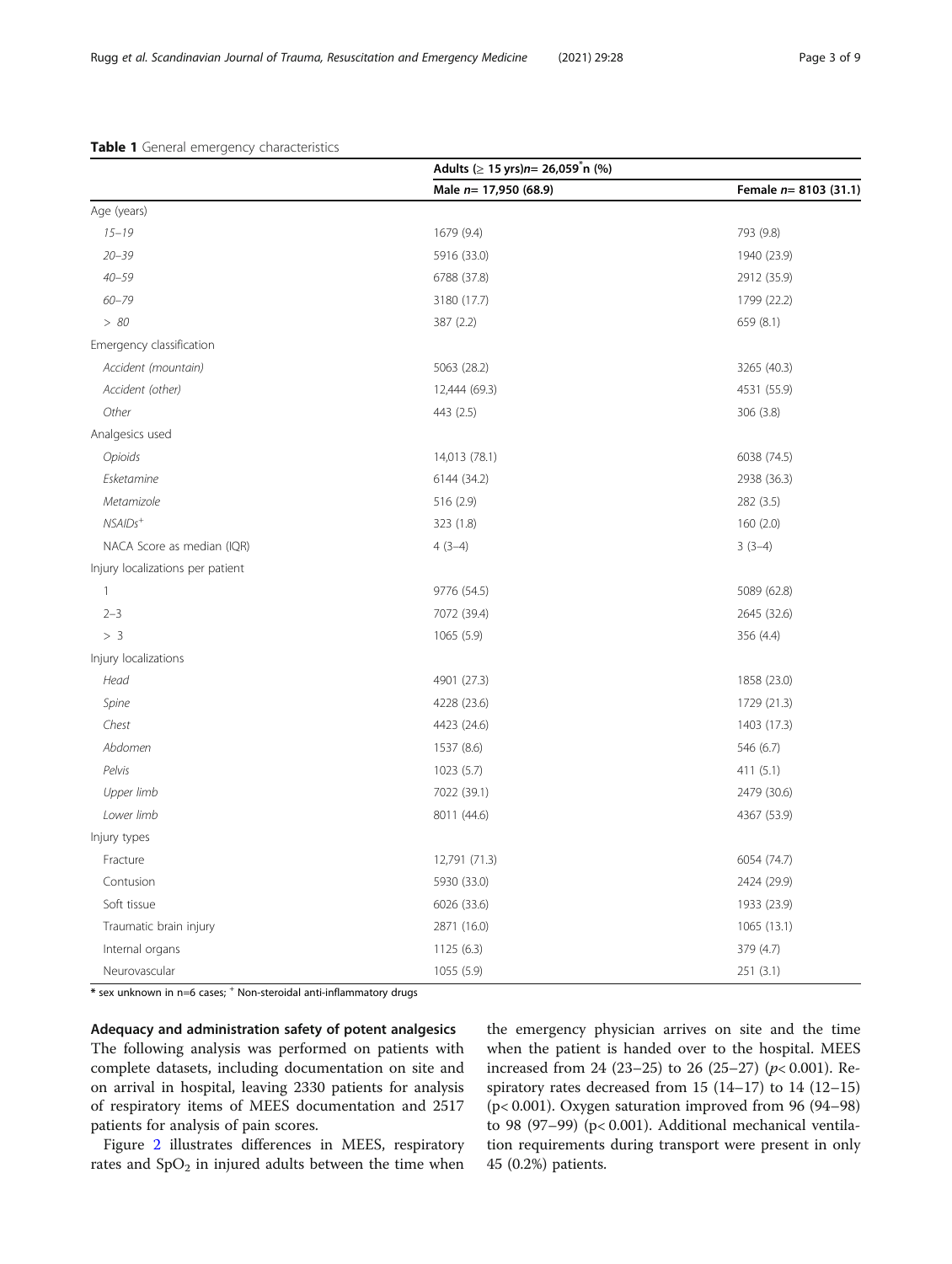|                                  | Adults ( $\geq 15$ yrs)n= 26,059 n (%) |                       |
|----------------------------------|----------------------------------------|-----------------------|
|                                  | Male n= 17,950 (68.9)                  | Female $n=8103(31.1)$ |
| Age (years)                      |                                        |                       |
| $15 - 19$                        | 1679 (9.4)                             | 793 (9.8)             |
| $20 - 39$                        | 5916 (33.0)                            | 1940 (23.9)           |
| $40 - 59$                        | 6788 (37.8)                            | 2912 (35.9)           |
| $60 - 79$                        | 3180 (17.7)                            | 1799 (22.2)           |
| > 80                             | 387 (2.2)                              | 659 (8.1)             |
| Emergency classification         |                                        |                       |
| Accident (mountain)              | 5063 (28.2)                            | 3265 (40.3)           |
| Accident (other)                 | 12,444 (69.3)                          | 4531 (55.9)           |
| Other                            | 443 (2.5)                              | 306 (3.8)             |
| Analgesics used                  |                                        |                       |
| Opioids                          | 14,013 (78.1)                          | 6038 (74.5)           |
| Esketamine                       | 6144 (34.2)                            | 2938 (36.3)           |
| Metamizole                       | 516 (2.9)                              | 282 (3.5)             |
| $NSAIDs+$                        | 323 (1.8)                              | 160(2.0)              |
| NACA Score as median (IQR)       | $4(3-4)$                               | $3(3-4)$              |
| Injury localizations per patient |                                        |                       |
| $\mathbf{1}$                     | 9776 (54.5)                            | 5089 (62.8)           |
| $2 - 3$                          | 7072 (39.4)                            | 2645 (32.6)           |
| > 3                              | 1065(5.9)                              | 356 (4.4)             |
| Injury localizations             |                                        |                       |
| Head                             | 4901 (27.3)                            | 1858 (23.0)           |
| Spine                            | 4228 (23.6)                            | 1729 (21.3)           |
| Chest                            | 4423 (24.6)                            | 1403 (17.3)           |
| Abdomen                          | 1537 (8.6)                             | 546 (6.7)             |
| Pelvis                           | 1023 (5.7)                             | 411(5.1)              |
| Upper limb                       | 7022 (39.1)                            | 2479 (30.6)           |
| Lower limb                       | 8011 (44.6)                            | 4367 (53.9)           |
| Injury types                     |                                        |                       |
| Fracture                         | 12,791 (71.3)                          | 6054 (74.7)           |
| Contusion                        | 5930 (33.0)                            | 2424 (29.9)           |
| Soft tissue                      | 6026 (33.6)                            | 1933 (23.9)           |
| Traumatic brain injury           | 2871 (16.0)                            | 1065 (13.1)           |
| Internal organs                  | 1125 (6.3)                             | 379 (4.7)             |
| Neurovascular                    | 1055 (5.9)                             | 251(3.1)              |

# <span id="page-2-0"></span>Table 1 General emergency characteristics

 $*$  sex unknown in n=6 cases;  $<sup>+</sup>$  Non-steroidal anti-inflammatory drugs</sup>

Adequacy and administration safety of potent analgesics The following analysis was performed on patients with complete datasets, including documentation on site and on arrival in hospital, leaving 2330 patients for analysis of respiratory items of MEES documentation and 2517 patients for analysis of pain scores.

Figure [2](#page-4-0) illustrates differences in MEES, respiratory rates and  $SpO<sub>2</sub>$  in injured adults between the time when the emergency physician arrives on site and the time when the patient is handed over to the hospital. MEES increased from 24 (23–25) to 26 (25–27) ( $p$ < 0.001). Respiratory rates decreased from 15 (14–17) to 14 (12–15) (p< 0.001). Oxygen saturation improved from 96 (94–98) to 98 (97–99) (p< 0.001). Additional mechanical ventilation requirements during transport were present in only 45 (0.2%) patients.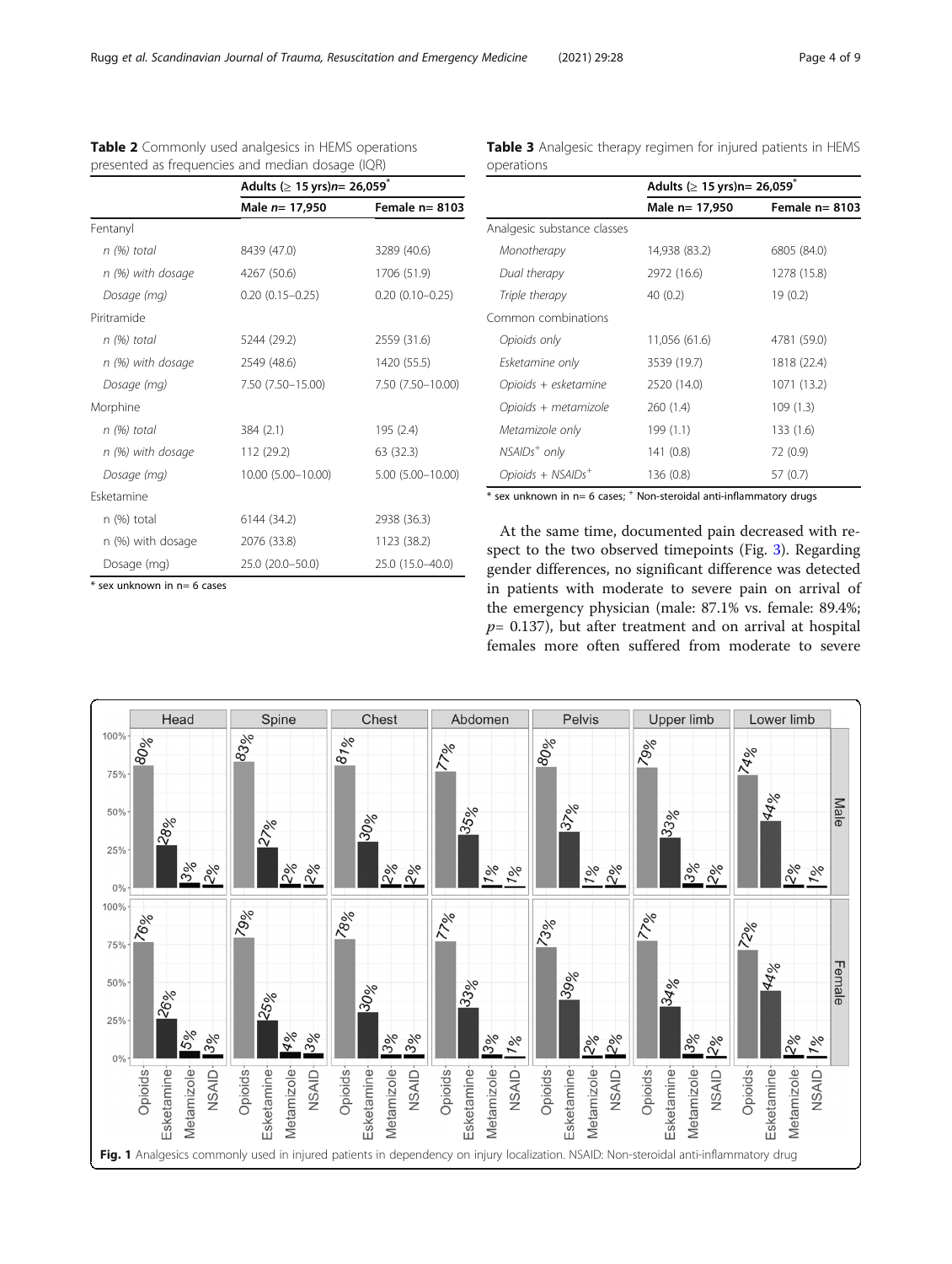|                     | Adults ( $\geq 15$ yrs)n= 26,059 <sup>*</sup> |                        |
|---------------------|-----------------------------------------------|------------------------|
|                     | Male n= 17,950                                | Female $n = 8103$      |
| Fentanyl            |                                               |                        |
| n (%) total         | 8439 (47.0)                                   | 3289 (40.6)            |
| $n$ (%) with dosage | 4267 (50.6)                                   | 1706 (51.9)            |
| Dosage (mg)         | $0.20(0.15 - 0.25)$                           | $0.20$ $(0.10 - 0.25)$ |
| Piritramide         |                                               |                        |
| n (%) total         | 5244 (29.2)                                   | 2559 (31.6)            |
| $n$ (%) with dosage | 2549 (48.6)                                   | 1420 (55.5)            |
| Dosage (mg)         | 7.50 (7.50-15.00)                             | 7.50 (7.50-10.00)      |
| Morphine            |                                               |                        |
| n (%) total         | 384 (2.1)                                     | 195 (2.4)              |
| n (%) with dosage   | 112 (29.2)                                    | 63 (32.3)              |
| Dosage (mg)         | 10.00 (5.00-10.00)                            | 5.00 (5.00-10.00)      |
| Esketamine          |                                               |                        |
| n (%) total         | 6144 (34.2)                                   | 2938 (36.3)            |
| n (%) with dosage   | 2076 (33.8)                                   | 1123 (38.2)            |
| Dosage (mg)         | 25.0 (20.0-50.0)                              | 25.0 (15.0-40.0)       |

\* sex unknown in n= 6 cases

<span id="page-3-0"></span>Table 2 Commonly used analgesics in HEMS operations presented as frequencies and median dosage (IQR)

Table 3 Analgesic therapy regimen for injured patients in HEMS operations

|                             | Adults ( $\geq 15$ yrs)n= 26,059 <sup>*</sup> |                 |
|-----------------------------|-----------------------------------------------|-----------------|
|                             | Male n= 17,950                                | Female $n=8103$ |
| Analgesic substance classes |                                               |                 |
| Monotherapy                 | 14,938 (83.2)                                 | 6805 (84.0)     |
| Dual therapy                | 2972 (16.6)                                   | 1278 (15.8)     |
| Triple therapy              | 40(0.2)                                       | 19(0.2)         |
| Common combinations         |                                               |                 |
| Opioids only                | 11,056 (61.6)                                 | 4781 (59.0)     |
| Esketamine only             | 3539 (19.7)                                   | 1818 (22.4)     |
| Opioids + esketamine        | 2520 (14.0)                                   | 1071 (13.2)     |
| Opioids + metamizole        | 260(1.4)                                      | 109(1.3)        |
| Metamizole only             | 199 (1.1)                                     | 133 (1.6)       |
| $NSAIDs+ only$              | 141 (0.8)                                     | 72 (0.9)        |
| $Opoids + NSAIDS+$          | 136 (0.8)                                     | 57 (0.7)        |

unknown in n= 6 cases; <sup>+</sup> Non-steroidal anti-inflammatory drugs

At the same time, documented pain decreased with respect to the two observed timepoints (Fig. [3\)](#page-4-0). Regarding gender differences, no significant difference was detected in patients with moderate to severe pain on arrival of the emergency physician (male: 87.1% vs. female: 89.4%;  $p=$  0.137), but after treatment and on arrival at hospital females more often suffered from moderate to severe

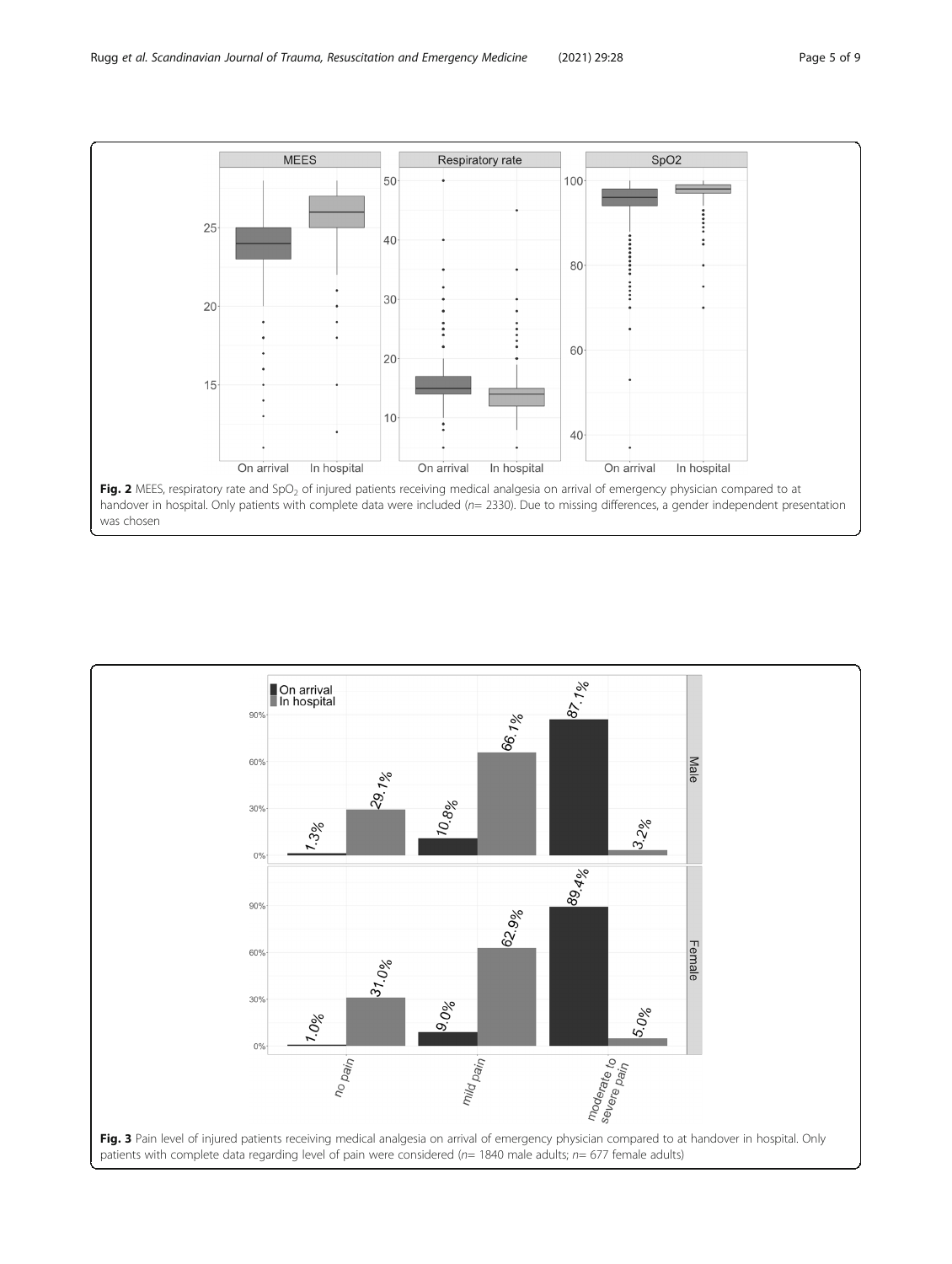<span id="page-4-0"></span>

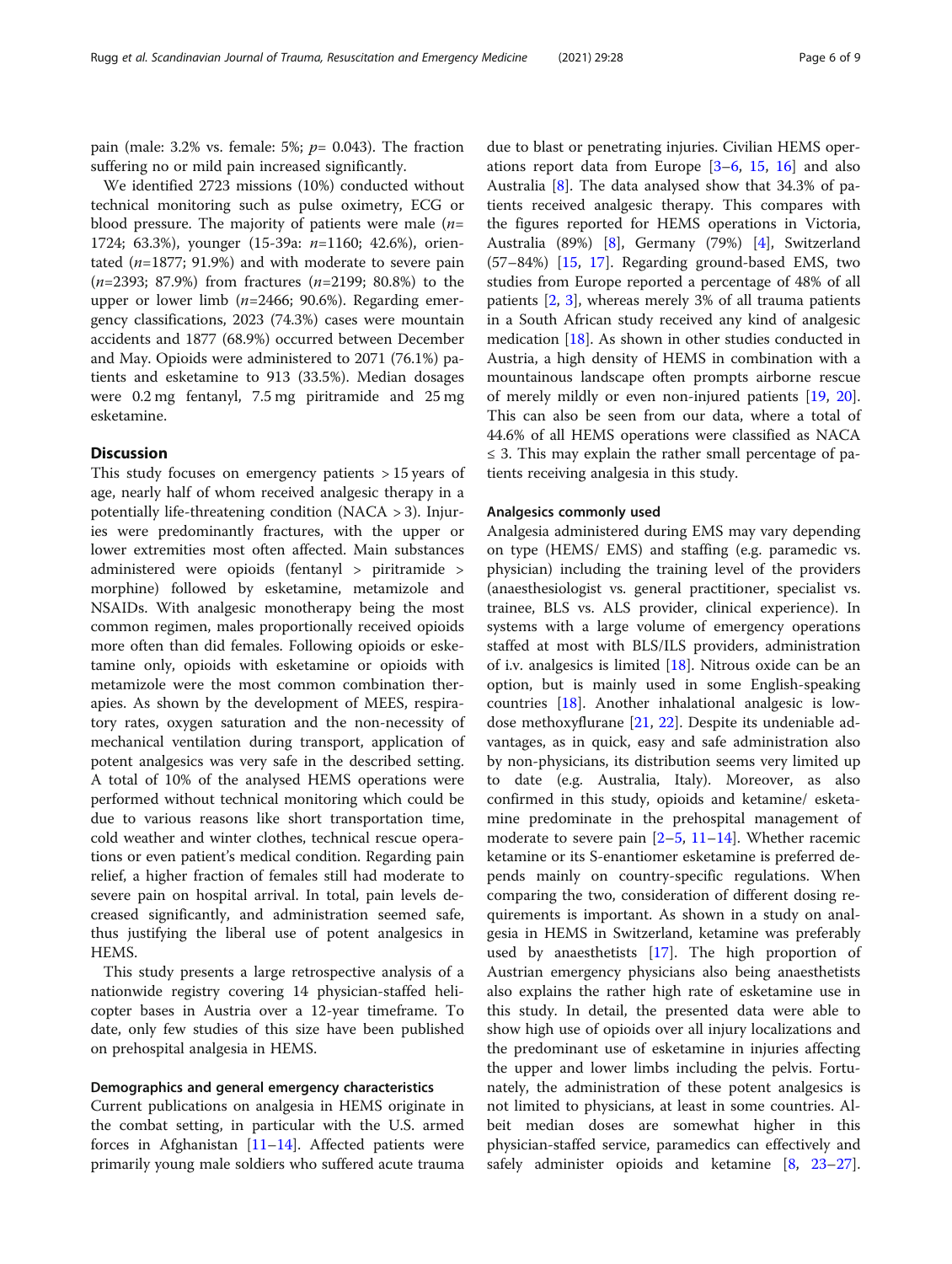pain (male: 3.2% vs. female: 5%;  $p=$  0.043). The fraction suffering no or mild pain increased significantly.

We identified 2723 missions (10%) conducted without technical monitoring such as pulse oximetry, ECG or blood pressure. The majority of patients were male  $(n=$ 1724; 63.3%), younger (15-39a: n=1160; 42.6%), orientated  $(n=1877; 91.9%)$  and with moderate to severe pain  $(n=2393; 87.9%)$  from fractures  $(n=2199; 80.8%)$  to the upper or lower limb  $(n=2466; 90.6%)$ . Regarding emergency classifications, 2023 (74.3%) cases were mountain accidents and 1877 (68.9%) occurred between December and May. Opioids were administered to 2071 (76.1%) patients and esketamine to 913 (33.5%). Median dosages were 0.2 mg fentanyl, 7.5 mg piritramide and 25 mg esketamine.

# **Discussion**

This study focuses on emergency patients  $> 15$  years of age, nearly half of whom received analgesic therapy in a potentially life-threatening condition (NACA > 3). Injuries were predominantly fractures, with the upper or lower extremities most often affected. Main substances administered were opioids (fentanyl > piritramide > morphine) followed by esketamine, metamizole and NSAIDs. With analgesic monotherapy being the most common regimen, males proportionally received opioids more often than did females. Following opioids or esketamine only, opioids with esketamine or opioids with metamizole were the most common combination therapies. As shown by the development of MEES, respiratory rates, oxygen saturation and the non-necessity of mechanical ventilation during transport, application of potent analgesics was very safe in the described setting. A total of 10% of the analysed HEMS operations were performed without technical monitoring which could be due to various reasons like short transportation time, cold weather and winter clothes, technical rescue operations or even patient's medical condition. Regarding pain relief, a higher fraction of females still had moderate to severe pain on hospital arrival. In total, pain levels decreased significantly, and administration seemed safe, thus justifying the liberal use of potent analgesics in HEMS.

This study presents a large retrospective analysis of a nationwide registry covering 14 physician-staffed helicopter bases in Austria over a 12-year timeframe. To date, only few studies of this size have been published on prehospital analgesia in HEMS.

## Demographics and general emergency characteristics

Current publications on analgesia in HEMS originate in the combat setting, in particular with the U.S. armed forces in Afghanistan  $[11–14]$  $[11–14]$  $[11–14]$  $[11–14]$ . Affected patients were primarily young male soldiers who suffered acute trauma

due to blast or penetrating injuries. Civilian HEMS operations report data from Europe [[3](#page-7-0)–[6](#page-7-0), [15,](#page-7-0) [16](#page-7-0)] and also Australia [\[8](#page-7-0)]. The data analysed show that 34.3% of patients received analgesic therapy. This compares with the figures reported for HEMS operations in Victoria, Australia (89%) [[8\]](#page-7-0), Germany (79%) [\[4](#page-7-0)], Switzerland (57–84%) [[15,](#page-7-0) [17\]](#page-7-0). Regarding ground-based EMS, two studies from Europe reported a percentage of 48% of all patients [\[2](#page-7-0), [3\]](#page-7-0), whereas merely 3% of all trauma patients in a South African study received any kind of analgesic medication [\[18](#page-7-0)]. As shown in other studies conducted in Austria, a high density of HEMS in combination with a mountainous landscape often prompts airborne rescue of merely mildly or even non-injured patients [\[19,](#page-7-0) [20](#page-7-0)]. This can also be seen from our data, where a total of 44.6% of all HEMS operations were classified as NACA  $\leq$  3. This may explain the rather small percentage of patients receiving analgesia in this study.

#### Analgesics commonly used

Analgesia administered during EMS may vary depending on type (HEMS/ EMS) and staffing (e.g. paramedic vs. physician) including the training level of the providers (anaesthesiologist vs. general practitioner, specialist vs. trainee, BLS vs. ALS provider, clinical experience). In systems with a large volume of emergency operations staffed at most with BLS/ILS providers, administration of i.v. analgesics is limited  $[18]$  $[18]$  $[18]$ . Nitrous oxide can be an option, but is mainly used in some English-speaking countries [\[18](#page-7-0)]. Another inhalational analgesic is lowdose methoxyflurane [[21,](#page-7-0) [22](#page-8-0)]. Despite its undeniable advantages, as in quick, easy and safe administration also by non-physicians, its distribution seems very limited up to date (e.g. Australia, Italy). Moreover, as also confirmed in this study, opioids and ketamine/ esketamine predominate in the prehospital management of moderate to severe pain  $[2-5, 11-14]$  $[2-5, 11-14]$  $[2-5, 11-14]$  $[2-5, 11-14]$  $[2-5, 11-14]$  $[2-5, 11-14]$  $[2-5, 11-14]$  $[2-5, 11-14]$ . Whether racemic ketamine or its S-enantiomer esketamine is preferred depends mainly on country-specific regulations. When comparing the two, consideration of different dosing requirements is important. As shown in a study on analgesia in HEMS in Switzerland, ketamine was preferably used by anaesthetists [[17\]](#page-7-0). The high proportion of Austrian emergency physicians also being anaesthetists also explains the rather high rate of esketamine use in this study. In detail, the presented data were able to show high use of opioids over all injury localizations and the predominant use of esketamine in injuries affecting the upper and lower limbs including the pelvis. Fortunately, the administration of these potent analgesics is not limited to physicians, at least in some countries. Albeit median doses are somewhat higher in this physician-staffed service, paramedics can effectively and safely administer opioids and ketamine [\[8](#page-7-0), [23](#page-8-0)–[27](#page-8-0)].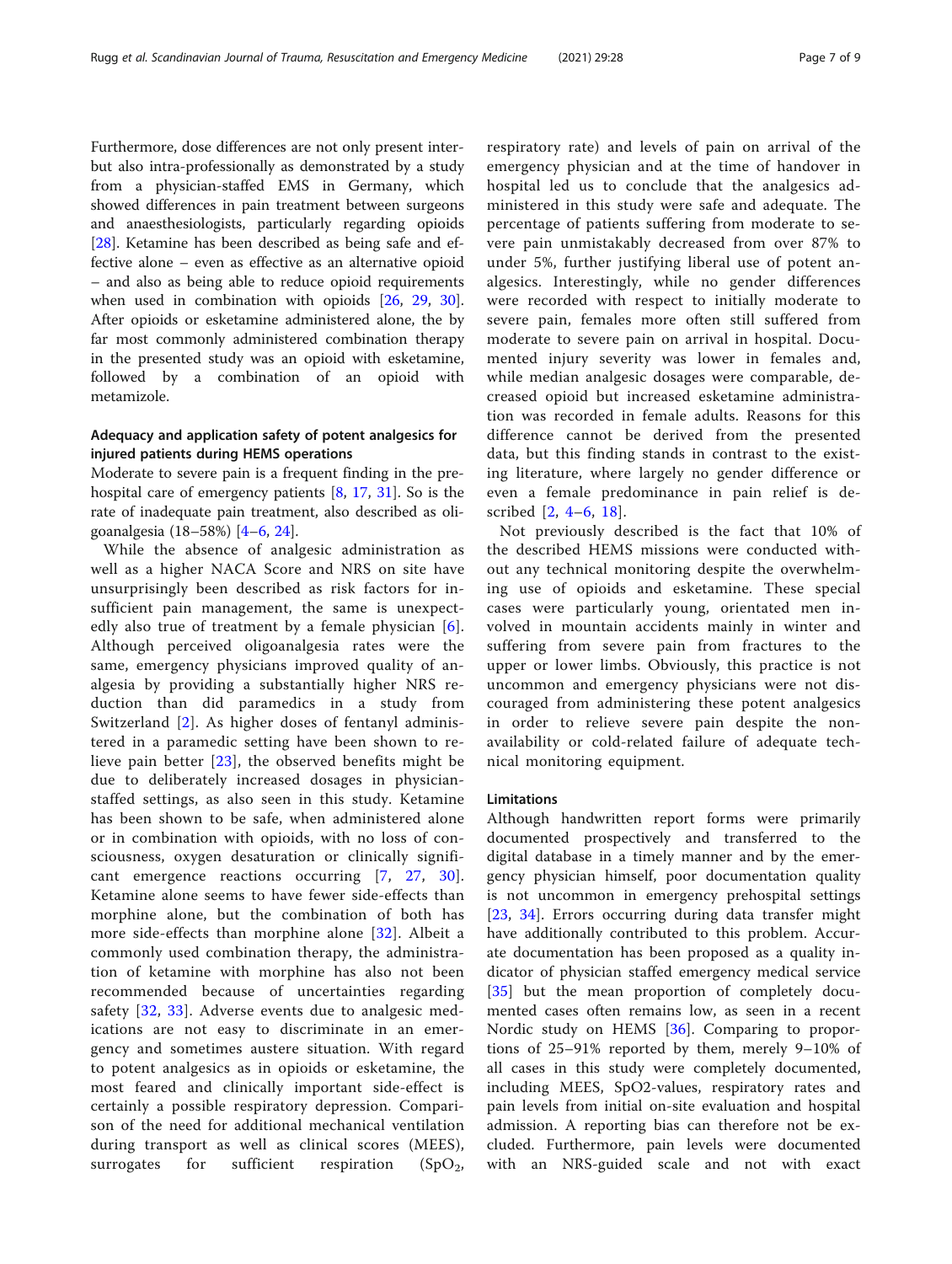Furthermore, dose differences are not only present interbut also intra-professionally as demonstrated by a study from a physician-staffed EMS in Germany, which showed differences in pain treatment between surgeons and anaesthesiologists, particularly regarding opioids [[28\]](#page-8-0). Ketamine has been described as being safe and effective alone – even as effective as an alternative opioid – and also as being able to reduce opioid requirements when used in combination with opioids [\[26](#page-8-0), [29,](#page-8-0) [30](#page-8-0)]. After opioids or esketamine administered alone, the by far most commonly administered combination therapy in the presented study was an opioid with esketamine, followed by a combination of an opioid with metamizole.

# Adequacy and application safety of potent analgesics for injured patients during HEMS operations

Moderate to severe pain is a frequent finding in the prehospital care of emergency patients [[8,](#page-7-0) [17](#page-7-0), [31\]](#page-8-0). So is the rate of inadequate pain treatment, also described as oligoanalgesia (18–58%) [[4](#page-7-0)–[6,](#page-7-0) [24\]](#page-8-0).

While the absence of analgesic administration as well as a higher NACA Score and NRS on site have unsurprisingly been described as risk factors for insufficient pain management, the same is unexpect-edly also true of treatment by a female physician [[6](#page-7-0)]. Although perceived oligoanalgesia rates were the same, emergency physicians improved quality of analgesia by providing a substantially higher NRS reduction than did paramedics in a study from Switzerland [[2\]](#page-7-0). As higher doses of fentanyl administered in a paramedic setting have been shown to relieve pain better [[23](#page-8-0)], the observed benefits might be due to deliberately increased dosages in physicianstaffed settings, as also seen in this study. Ketamine has been shown to be safe, when administered alone or in combination with opioids, with no loss of consciousness, oxygen desaturation or clinically significant emergence reactions occurring [[7,](#page-7-0) [27,](#page-8-0) [30](#page-8-0)]. Ketamine alone seems to have fewer side-effects than morphine alone, but the combination of both has more side-effects than morphine alone [\[32\]](#page-8-0). Albeit a commonly used combination therapy, the administration of ketamine with morphine has also not been recommended because of uncertainties regarding safety [\[32](#page-8-0), [33](#page-8-0)]. Adverse events due to analgesic medications are not easy to discriminate in an emergency and sometimes austere situation. With regard to potent analgesics as in opioids or esketamine, the most feared and clinically important side-effect is certainly a possible respiratory depression. Comparison of the need for additional mechanical ventilation during transport as well as clinical scores (MEES), surrogates for sufficient respiration  $(SpO<sub>2</sub>)$ ,

respiratory rate) and levels of pain on arrival of the emergency physician and at the time of handover in hospital led us to conclude that the analgesics administered in this study were safe and adequate. The percentage of patients suffering from moderate to severe pain unmistakably decreased from over 87% to under 5%, further justifying liberal use of potent analgesics. Interestingly, while no gender differences were recorded with respect to initially moderate to severe pain, females more often still suffered from moderate to severe pain on arrival in hospital. Documented injury severity was lower in females and, while median analgesic dosages were comparable, decreased opioid but increased esketamine administration was recorded in female adults. Reasons for this difference cannot be derived from the presented data, but this finding stands in contrast to the existing literature, where largely no gender difference or even a female predominance in pain relief is described [\[2,](#page-7-0) [4](#page-7-0)–[6](#page-7-0), [18\]](#page-7-0).

Not previously described is the fact that 10% of the described HEMS missions were conducted without any technical monitoring despite the overwhelming use of opioids and esketamine. These special cases were particularly young, orientated men involved in mountain accidents mainly in winter and suffering from severe pain from fractures to the upper or lower limbs. Obviously, this practice is not uncommon and emergency physicians were not discouraged from administering these potent analgesics in order to relieve severe pain despite the nonavailability or cold-related failure of adequate technical monitoring equipment.

#### Limitations

Although handwritten report forms were primarily documented prospectively and transferred to the digital database in a timely manner and by the emergency physician himself, poor documentation quality is not uncommon in emergency prehospital settings [[23,](#page-8-0) [34](#page-8-0)]. Errors occurring during data transfer might have additionally contributed to this problem. Accurate documentation has been proposed as a quality indicator of physician staffed emergency medical service [[35\]](#page-8-0) but the mean proportion of completely documented cases often remains low, as seen in a recent Nordic study on HEMS [\[36](#page-8-0)]. Comparing to proportions of 25–91% reported by them, merely 9–10% of all cases in this study were completely documented, including MEES, SpO2-values, respiratory rates and pain levels from initial on-site evaluation and hospital admission. A reporting bias can therefore not be excluded. Furthermore, pain levels were documented with an NRS-guided scale and not with exact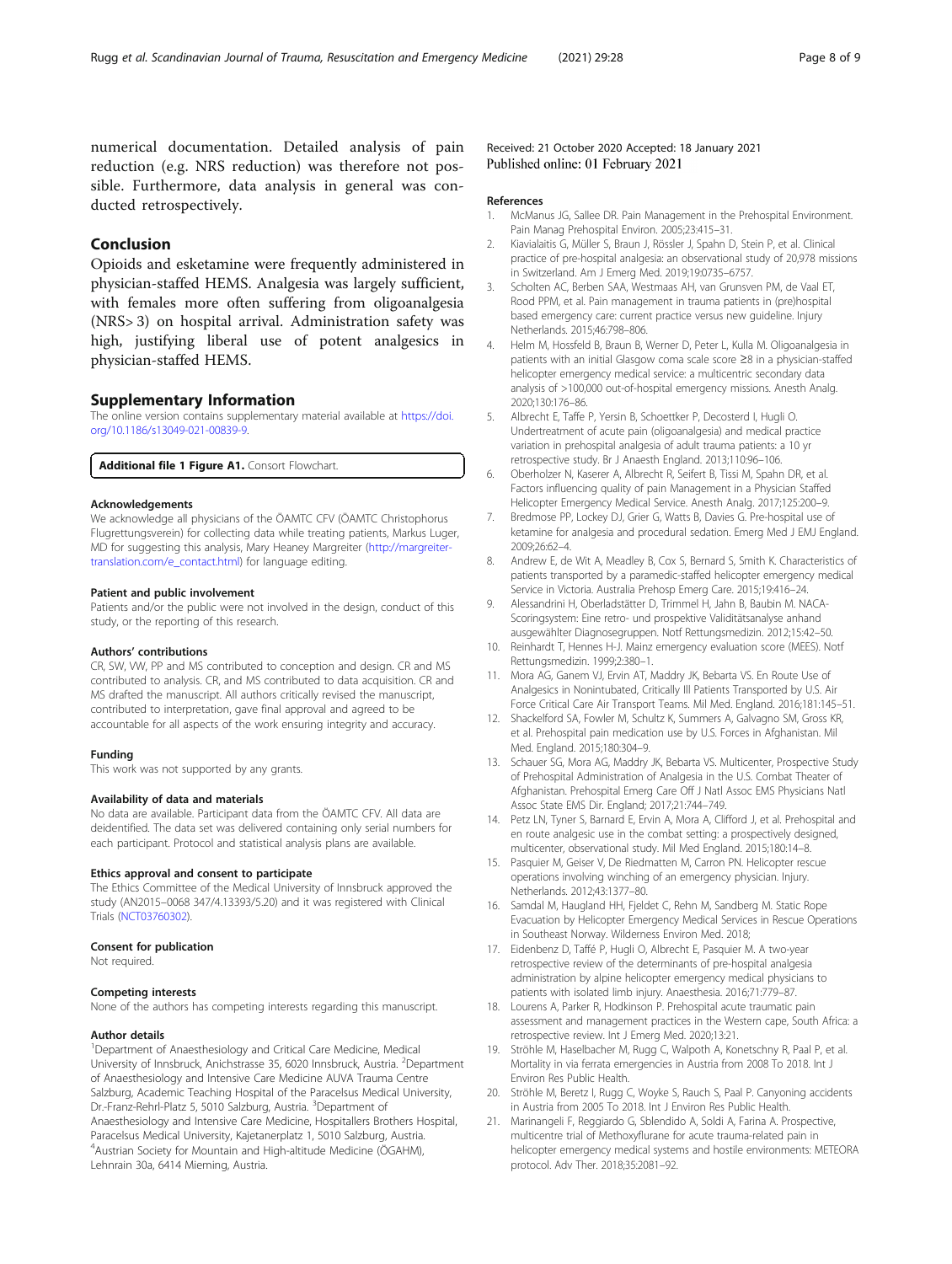<span id="page-7-0"></span>numerical documentation. Detailed analysis of pain reduction (e.g. NRS reduction) was therefore not possible. Furthermore, data analysis in general was conducted retrospectively.

# Conclusion

Opioids and esketamine were frequently administered in physician-staffed HEMS. Analgesia was largely sufficient, with females more often suffering from oligoanalgesia (NRS> 3) on hospital arrival. Administration safety was high, justifying liberal use of potent analgesics in physician-staffed HEMS.

#### Supplementary Information

The online version contains supplementary material available at [https://doi.](https://doi.org/10.1186/s13049-021-00839-9) [org/10.1186/s13049-021-00839-9.](https://doi.org/10.1186/s13049-021-00839-9)

Additional file 1 Figure A1. Consort Flowchart.

#### Acknowledgements

We acknowledge all physicians of the ÖAMTC CFV (ÖAMTC Christophorus Flugrettungsverein) for collecting data while treating patients, Markus Luger, MD for suggesting this analysis, Mary Heaney Margreiter ([http://margreiter](http://margreiter-translation.com/e_contact.html)[translation.com/e\\_contact.html](http://margreiter-translation.com/e_contact.html)) for language editing.

#### Patient and public involvement

Patients and/or the public were not involved in the design, conduct of this study, or the reporting of this research.

#### Authors' contributions

CR, SW, VW, PP and MS contributed to conception and design. CR and MS contributed to analysis. CR, and MS contributed to data acquisition. CR and MS drafted the manuscript. All authors critically revised the manuscript, contributed to interpretation, gave final approval and agreed to be accountable for all aspects of the work ensuring integrity and accuracy.

#### Funding

This work was not supported by any grants.

#### Availability of data and materials

No data are available. Participant data from the ÖAMTC CFV. All data are deidentified. The data set was delivered containing only serial numbers for each participant. Protocol and statistical analysis plans are available.

#### Ethics approval and consent to participate

The Ethics Committee of the Medical University of Innsbruck approved the study (AN2015–0068 347/4.13393/5.20) and it was registered with Clinical Trials ([NCT03760302\)](https://clinicaltrials.gov/ct2/show/NCT03760302).

#### Consent for publication

Not required.

#### Competing interests

None of the authors has competing interests regarding this manuscript.

#### Author details

<sup>1</sup>Department of Anaesthesiology and Critical Care Medicine, Medical University of Innsbruck, Anichstrasse 35, 6020 Innsbruck, Austria. <sup>2</sup>Department of Anaesthesiology and Intensive Care Medicine AUVA Trauma Centre Salzburg, Academic Teaching Hospital of the Paracelsus Medical University, Dr.-Franz-Rehrl-Platz 5, 5010 Salzburg, Austria. <sup>3</sup>Department of Anaesthesiology and Intensive Care Medicine, Hospitallers Brothers Hospital, Paracelsus Medical University, Kajetanerplatz 1, 5010 Salzburg, Austria. 4 Austrian Society for Mountain and High-altitude Medicine (ÖGAHM), Lehnrain 30a, 6414 Mieming, Austria.

#### Received: 21 October 2020 Accepted: 18 January 2021 Published online: 01 February 2021

#### References

- 1. McManus JG, Sallee DR. Pain Management in the Prehospital Environment. Pain Manag Prehospital Environ. 2005;23:415–31.
- 2. Kiavialaitis G, Müller S, Braun J, Rössler J, Spahn D, Stein P, et al. Clinical practice of pre-hospital analgesia: an observational study of 20,978 missions in Switzerland. Am J Emerg Med. 2019;19:0735–6757.
- 3. Scholten AC, Berben SAA, Westmaas AH, van Grunsven PM, de Vaal ET, Rood PPM, et al. Pain management in trauma patients in (pre)hospital based emergency care: current practice versus new guideline. Injury Netherlands. 2015;46:798–806.
- 4. Helm M, Hossfeld B, Braun B, Werner D, Peter L, Kulla M. Oligoanalgesia in patients with an initial Glasgow coma scale score ≥8 in a physician-staffed helicopter emergency medical service: a multicentric secondary data analysis of >100,000 out-of-hospital emergency missions. Anesth Analg. 2020;130:176–86.
- 5. Albrecht E, Taffe P, Yersin B, Schoettker P, Decosterd I, Hugli O. Undertreatment of acute pain (oligoanalgesia) and medical practice variation in prehospital analgesia of adult trauma patients: a 10 yr retrospective study. Br J Anaesth England. 2013;110:96–106.
- 6. Oberholzer N, Kaserer A, Albrecht R, Seifert B, Tissi M, Spahn DR, et al. Factors influencing quality of pain Management in a Physician Staffed Helicopter Emergency Medical Service. Anesth Analg. 2017;125:200–9.
- 7. Bredmose PP, Lockey DJ, Grier G, Watts B, Davies G. Pre-hospital use of ketamine for analgesia and procedural sedation. Emerg Med J EMJ England. 2009;26:62–4.
- 8. Andrew E, de Wit A, Meadley B, Cox S, Bernard S, Smith K. Characteristics of patients transported by a paramedic-staffed helicopter emergency medical Service in Victoria. Australia Prehosp Emerg Care. 2015;19:416–24.
- 9. Alessandrini H, Oberladstätter D, Trimmel H, Jahn B, Baubin M. NACA-Scoringsystem: Eine retro- und prospektive Validitätsanalyse anhand ausgewählter Diagnosegruppen. Notf Rettungsmedizin. 2012;15:42–50.
- 10. Reinhardt T, Hennes H-J. Mainz emergency evaluation score (MEES). Notf Rettungsmedizin. 1999;2:380–1.
- 11. Mora AG, Ganem VJ, Ervin AT, Maddry JK, Bebarta VS. En Route Use of Analgesics in Nonintubated, Critically Ill Patients Transported by U.S. Air Force Critical Care Air Transport Teams. Mil Med. England. 2016;181:145–51.
- 12. Shackelford SA, Fowler M, Schultz K, Summers A, Galvagno SM, Gross KR, et al. Prehospital pain medication use by U.S. Forces in Afghanistan. Mil Med. England. 2015;180:304–9.
- 13. Schauer SG, Mora AG, Maddry JK, Bebarta VS. Multicenter, Prospective Study of Prehospital Administration of Analgesia in the U.S. Combat Theater of Afghanistan. Prehospital Emerg Care Off J Natl Assoc EMS Physicians Natl Assoc State EMS Dir. England; 2017;21:744–749.
- 14. Petz LN, Tyner S, Barnard E, Ervin A, Mora A, Clifford J, et al. Prehospital and en route analgesic use in the combat setting: a prospectively designed, multicenter, observational study. Mil Med England. 2015;180:14–8.
- 15. Pasquier M, Geiser V, De Riedmatten M, Carron PN. Helicopter rescue operations involving winching of an emergency physician. Injury. Netherlands. 2012;43:1377–80.
- 16. Samdal M, Haugland HH, Fjeldet C, Rehn M, Sandberg M. Static Rope Evacuation by Helicopter Emergency Medical Services in Rescue Operations in Southeast Norway. Wilderness Environ Med. 2018;
- 17. Eidenbenz D, Taffé P, Hugli O, Albrecht E, Pasquier M. A two-year retrospective review of the determinants of pre-hospital analgesia administration by alpine helicopter emergency medical physicians to patients with isolated limb injury. Anaesthesia. 2016;71:779–87.
- 18. Lourens A, Parker R, Hodkinson P. Prehospital acute traumatic pain assessment and management practices in the Western cape, South Africa: a retrospective review. Int J Emerg Med. 2020;13:21.
- 19. Ströhle M, Haselbacher M, Rugg C, Walpoth A, Konetschny R, Paal P, et al. Mortality in via ferrata emergencies in Austria from 2008 To 2018. Int J Environ Res Public Health.
- 20. Ströhle M, Beretz I, Rugg C, Woyke S, Rauch S, Paal P. Canyoning accidents in Austria from 2005 To 2018. Int J Environ Res Public Health.
- 21. Marinangeli F, Reggiardo G, Sblendido A, Soldi A, Farina A. Prospective, multicentre trial of Methoxyflurane for acute trauma-related pain in helicopter emergency medical systems and hostile environments: METEORA protocol. Adv Ther. 2018;35:2081–92.